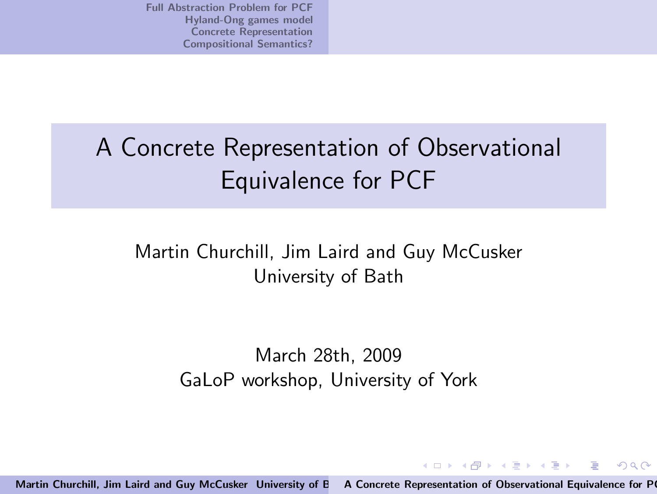# A Concrete Representation of Observational Equivalence for PCF

### Martin Churchill, Jim Laird and Guy McCusker University of Bath

March 28th, 2009 GaLoP workshop, University of York

Martin Churchill, Jim Laird and Guy McCusker University of E A Concrete Representation of Observational Equivalence for P

<span id="page-0-0"></span> $(0)$   $(0)$   $(0)$   $(1)$   $(1)$   $(1)$   $(1)$   $(1)$ 

 $2Q$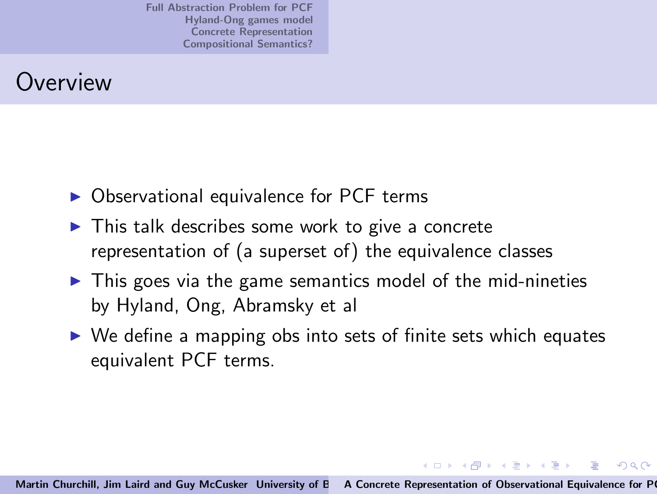# **Overview**

- $\triangleright$  Observational equivalence for PCF terms
- $\triangleright$  This talk describes some work to give a concrete representation of (a superset of) the equivalence classes
- $\triangleright$  This goes via the game semantics model of the mid-nineties by Hyland, Ong, Abramsky et al
- $\triangleright$  We define a mapping obs into sets of finite sets which equates equivalent PCF terms.

イロメ イ部メ イヨメ イヨメー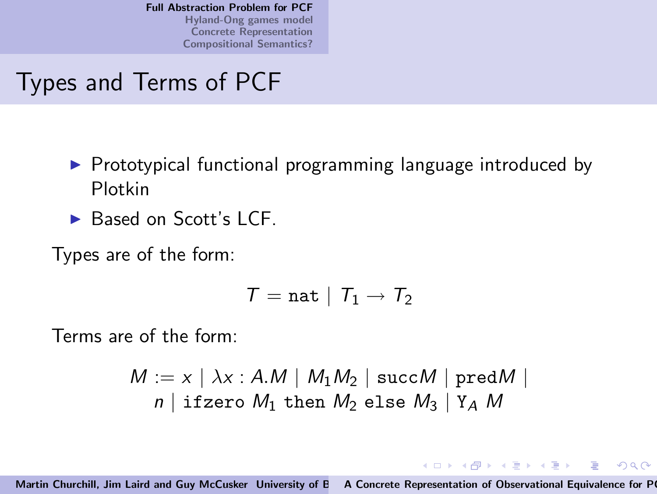## Types and Terms of PCF

- ▶ Prototypical functional programming language introduced by Plotkin
- ► Based on Scott's LCF.

Types are of the form:

$$
\mathcal{T} = \mathtt{nat} \mid \mathcal{T}_1 \rightarrow \mathcal{T}_2
$$

Terms are of the form:

$$
M := x \mid \lambda x : A.M \mid M_1M_2 \mid succM \mid predM \mid
$$
  

$$
n \mid \text{ifzero } M_1 \text{ then } M_2 \text{ else } M_3 \mid Y_A M
$$

<span id="page-2-0"></span>イロト イ部 トイヨ トイヨ トー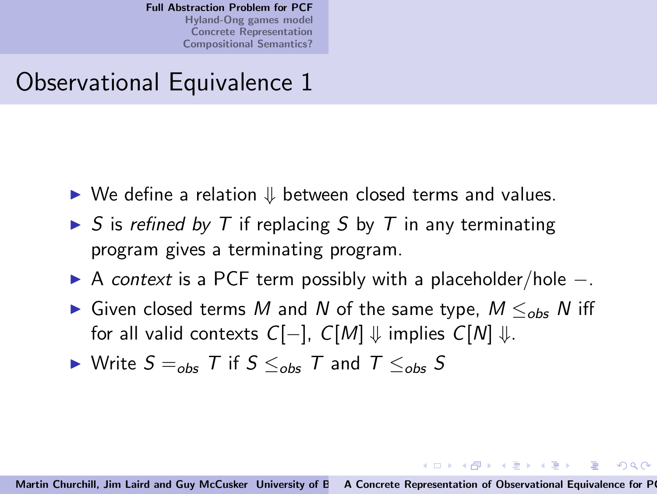### Observational Equivalence 1

- $\triangleright$  We define a relation  $\Downarrow$  between closed terms and values.
- $\triangleright$  S is refined by T if replacing S by T in any terminating program gives a terminating program.
- ► A context is a PCF term possibly with a placeholder/hole –.
- ► Given closed terms M and N of the same type,  $M \leq_{obs} N$  iff for all valid contexts  $C[-]$ ,  $C[M] \Downarrow$  implies  $C[N] \Downarrow$ .

$$
\blacktriangleright
$$
 Write  $S =_{obs} T$  if  $S \leq_{obs} T$  and  $T \leq_{obs} S$ 

イロン イ押ン イヨン イヨン 一重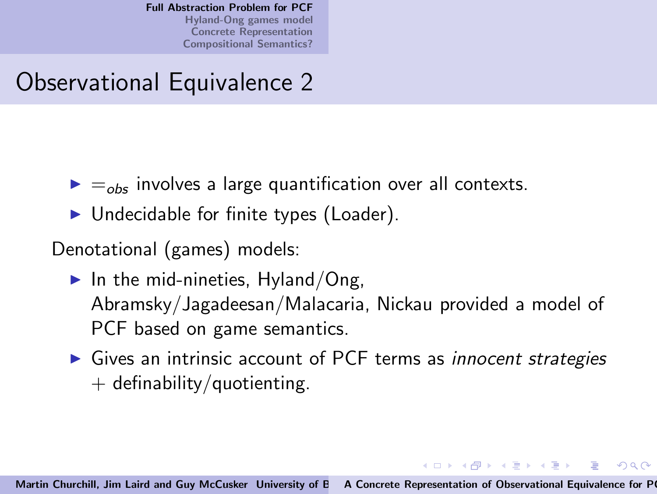## Observational Equivalence 2

- $\blacktriangleright$   $=$ <sub>obs</sub> involves a large quantification over all contexts.
- $\blacktriangleright$  Undecidable for finite types (Loader).

Denotational (games) models:

- $\blacktriangleright$  In the mid-nineties, Hyland/Ong, Abramsky/Jagadeesan/Malacaria, Nickau provided a model of PCF based on game semantics.
- ▶ Gives an intrinsic account of PCF terms as *innocent strategies*  $+$  definability/quotienting.

イロン イ押ン イヨン イヨン 一重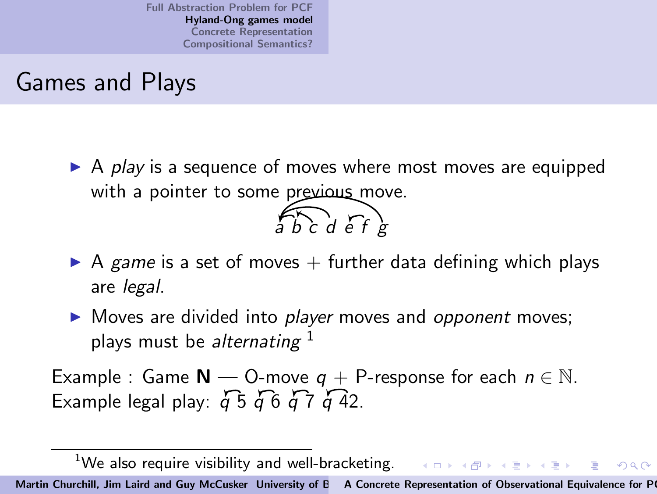## Games and Plays

 $\triangleright$  A play is a sequence of moves where most moves are equipped with a pointer to some previous move.  $\widehat{abc}$ d  $\widehat{ef}$ 



▶ Moves are divided into *player* moves and *opponent* moves; plays must be alternating  $1$ 

<span id="page-5-0"></span>Example : Game  $N - 0$ -move  $q + P$ -response for each  $n \in \mathbb{N}$ . Example legal play:  $\overline{a}$  5  $\overline{a}$  6  $\overline{a}$  7  $\overline{a}$  42.

<sup>&</sup>lt;sup>1</sup>We also require visibility and well-bracketing.  $\longleftrightarrow$   $\overline{\ }$  $2Q$ Martin Churchill, Jim Laird and Guy McCusker University of E A Concrete Representation of Observational Equivalence for P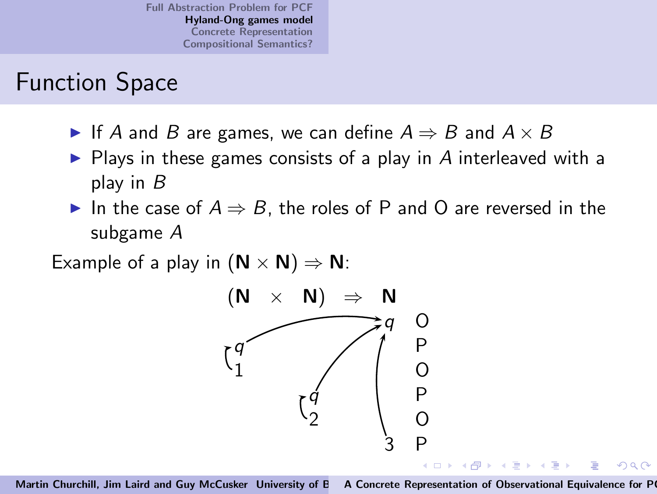### Function Space

- ► If A and B are games, we can define  $A \Rightarrow B$  and  $A \times B$
- $\triangleright$  Plays in these games consists of a play in A interleaved with a play in B
- ► In the case of  $A \Rightarrow B$ , the roles of P and O are reversed in the subgame A

Example of a play in  $(N \times N) \Rightarrow N$ :

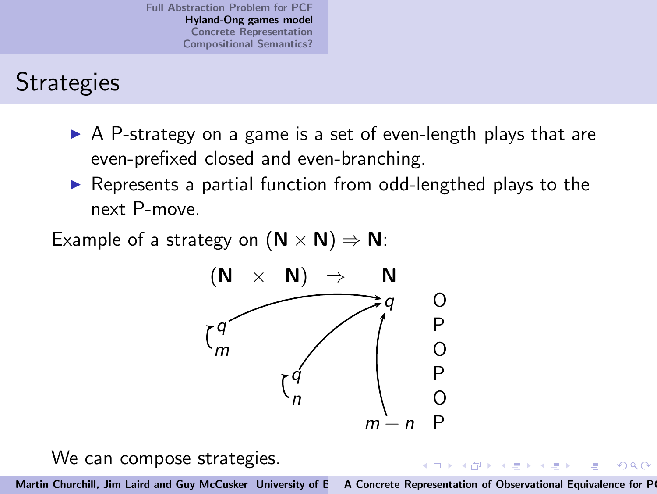# **Strategies**

- $\triangleright$  A P-strategy on a game is a set of even-length plays that are even-prefixed closed and even-branching.
- ▶ Represents a partial function from odd-lengthed plays to the next P-move.

Example of a strategy on  $(N \times N) \Rightarrow N$ :



We can compose strategies.

Martin Churchill, Jim Laird and Guy McCusker University of E A Concrete Representation of Observational Equivalence for P

 $A \oplus A \times A \oplus A \times A \oplus A$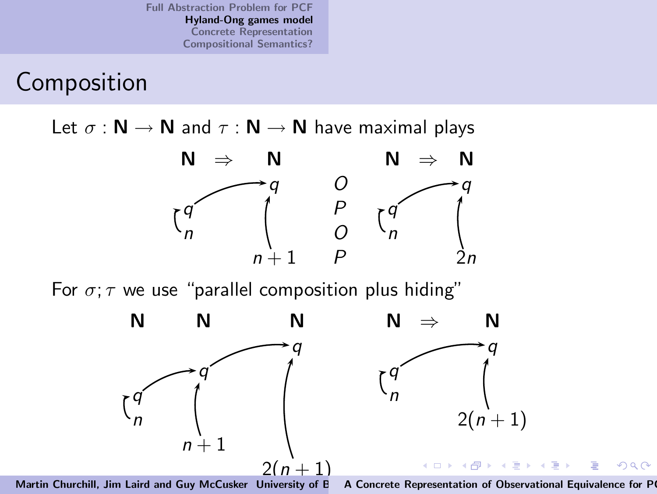# Composition

Let  $\sigma : \mathbb{N} \to \mathbb{N}$  and  $\tau : \mathbb{N} \to \mathbb{N}$  have maximal plays



For  $\sigma$ ;  $\tau$  we use "parallel composition plus hiding"



A Concrete Representation of Observational Equivalence for P

 $2Q$ 

扂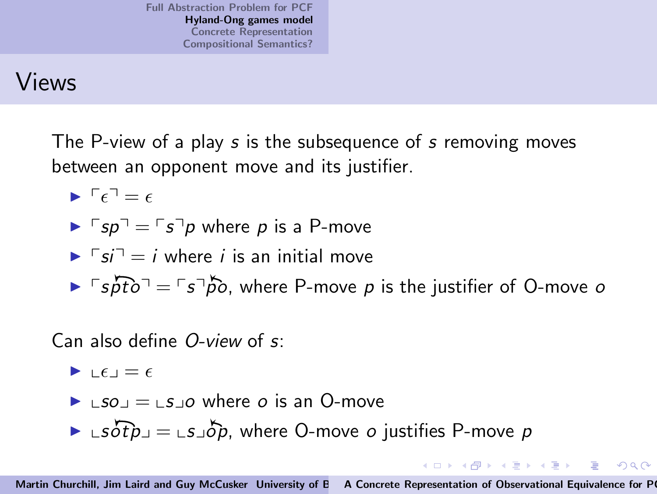## Views

The P-view of a play s is the subsequence of s removing moves between an opponent move and its justifier.

$$
\blacktriangleright \ulcorner \epsilon \urcorner = \epsilon
$$

$$
\blacktriangleright \ulcorner sp \urcorner = \ulcorner s \urcorner p \text{ where } p \text{ is a } P\text{-move}
$$

$$
\blacktriangleright \ulcorner si \urcorner = i \text{ where } i \text{ is an initial move}
$$

$$
\triangleright
$$
  $\lceil$  spto<sup>-1</sup> =  $\lceil$  s<sup>-1</sup>po<sup>-1</sup>, where P-move p is the justifier of O-move o

#### Can also define O-view of s:

$$
\blacktriangleright \ \underline{\mathsf{L}} \epsilon \underline{\mathsf{L}} = \epsilon
$$

◮ xsoy = xsyo where o is an O-move

 $\blacktriangleright$   $\bot s\overrightarrow{otp}$  $\bot$  $\bot s\overrightarrow{otp}$ , where O-move *o* justifies P-move *p* 

 $(1, 1)$   $(1, 1)$   $(1, 1)$   $(1, 1)$   $(1, 1)$   $(1, 1)$   $(1, 1)$   $(1, 1)$   $(1, 1)$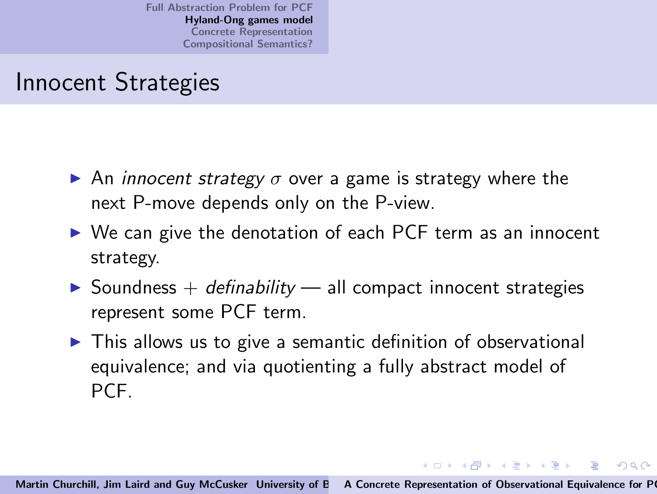## Innocent Strategies

- $\triangleright$  An *innocent strategy*  $\sigma$  over a game is strategy where the next P-move depends only on the P-view.
- ▶ We can give the denotation of each PCF term as an innocent strategy.
- $\triangleright$  Soundness + definability all compact innocent strategies represent some PCF term.
- ▶ This allows us to give a semantic definition of observational equivalence; and via quotienting a fully abstract model of PCF.

イロン イ母ン イヨン イヨン ニヨー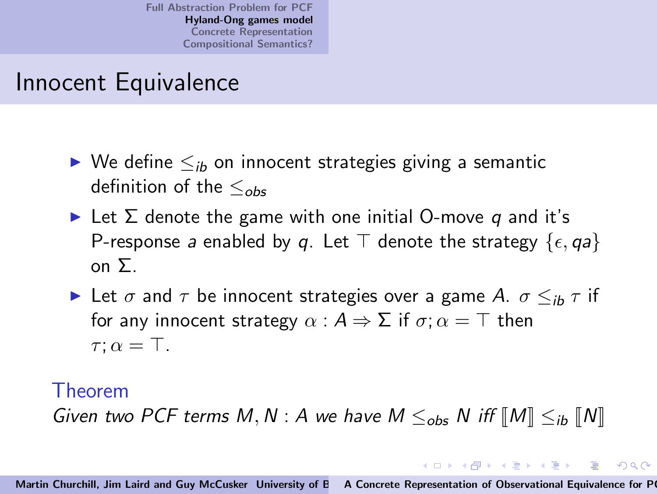## Innocent Equivalence

- $\triangleright$  We define  $\leq_{ib}$  on innocent strategies giving a semantic definition of the  $\leq_{obs}$
- $\blacktriangleright$  Let  $\Sigma$  denote the game with one initial O-move q and it's P-response a enabled by q. Let  $\top$  denote the strategy  $\{\epsilon, qa\}$ on Σ.
- Let  $\sigma$  and  $\tau$  be innocent strategies over a game A.  $\sigma \leq_{ib} \tau$  if for any innocent strategy  $\alpha : A \Rightarrow \Sigma$  if  $\sigma : \alpha = \top$  then  $\tau$ :  $\alpha = \top$ .

#### Theorem

Given two PCF terms M, N : A we have  $M \leq_{obs} N$  iff  $\llbracket M \rrbracket \leq_{ib} \llbracket N \rrbracket$ 

イロン イ御ン イヨン イヨン 一重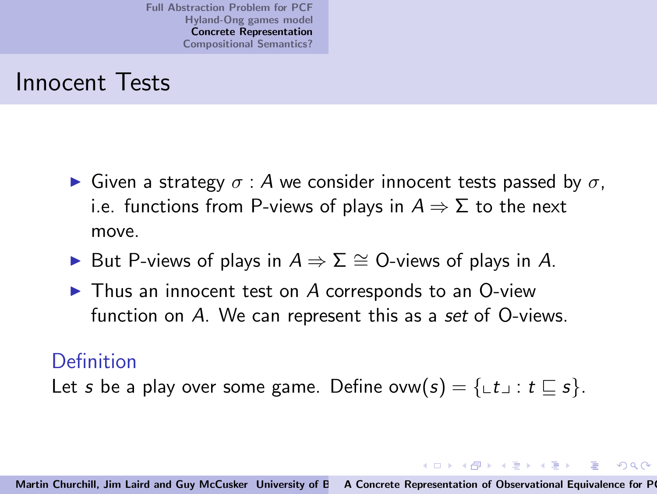### Innocent Tests

- $\triangleright$  Given a strategy  $\sigma$  : A we consider innocent tests passed by  $\sigma$ . i.e. functions from P-views of plays in  $A \Rightarrow \Sigma$  to the next move.
- ► But P-views of plays in  $A \Rightarrow \Sigma \cong$  O-views of plays in A.
- $\blacktriangleright$  Thus an innocent test on A corresponds to an O-view function on A. We can represent this as a set of O-views.

#### Definition

Let s be a play over some game. Define ovw $(s) = \{ \bot t \bot : t \sqsubseteq s \}.$ 

<span id="page-12-0"></span>イロメ イタメ イチメ イチメー 手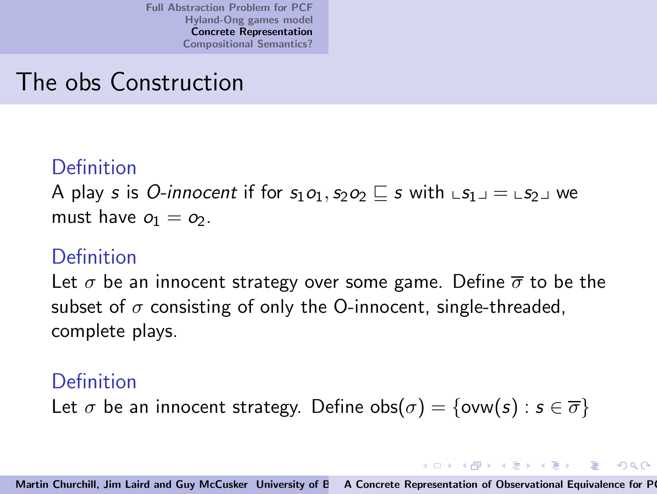## The obs Construction

#### Definition

A play s is O-innocent if for  $s_1o_1, s_2o_2 \sqsubseteq s$  with  $\text{L}s_1 \sqcup \text{L}s_2 \sqcup \text{w}$ must have  $o_1 = o_2$ .

### Definition

Let  $\sigma$  be an innocent strategy over some game. Define  $\overline{\sigma}$  to be the subset of  $\sigma$  consisting of only the O-innocent, single-threaded, complete plays.

### Definition

Let  $\sigma$  be an innocent strategy. Define  $obs(\sigma) = \{ow(s) : s \in \overline{\sigma}\}\$ 

 $(0.12.10)$   $(0.12.10)$   $(0.12.10)$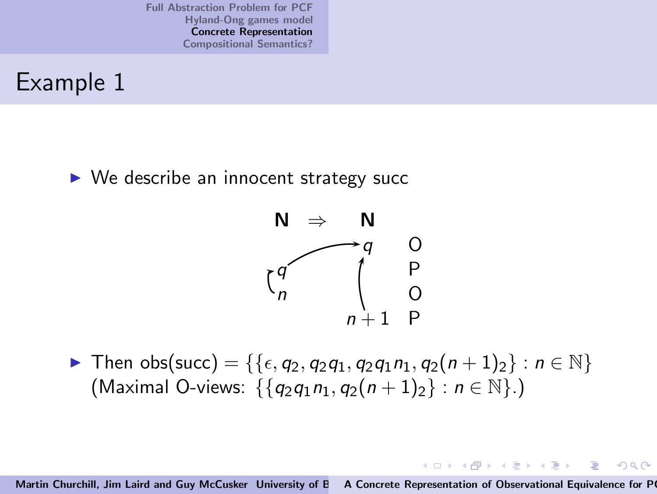### Example 1

 $\triangleright$  We describe an innocent strategy succ



► Then obs(succ) = {{ $\epsilon, q_2, q_2q_1, q_2q_1n_1, q_2(n+1)_2$ } :  $n \in \mathbb{N}$ } (Maximal O-views:  $\{\{q_2q_1n_1, q_2(n+1)_2\} : n \in \mathbb{N}\}\.$ )

Martin Churchill, Jim Laird and Guy McCusker University of E A Concrete Representation of Observational Equivalence for P

イロメ イ押メ イヨメ イヨメー

 $2Q$ 

后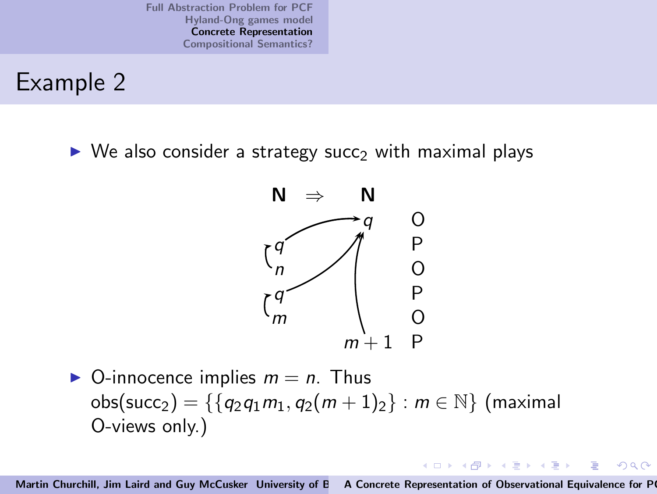### Example 2

 $\triangleright$  We also consider a strategy succ<sub>2</sub> with maximal plays



 $\triangleright$  O-innocence implies  $m = n$ . Thus obs(succ<sub>2</sub>) = { $\{q_2q_1m_1, q_2(m+1)_2\}$  :  $m \in \mathbb{N}\}$  (maximal O-views only.)

Martin Churchill, Jim Laird and Guy McCusker University of E A Concrete Representation of Observational Equivalence for P

 $4$  ロ )  $4$  何 )  $4$  ミ )  $4$  ( = )

 $2Q$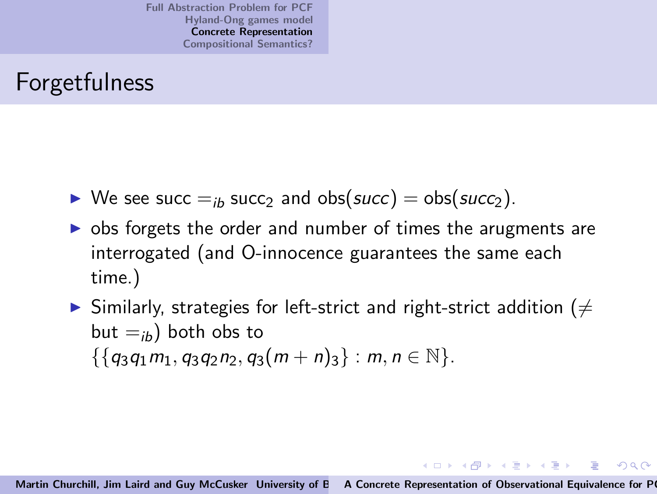# Forgetfulness

- $\triangleright$  We see succ  $=$ <sub>ib</sub> succ<sub>2</sub> and obs(succ) = obs(succ<sub>2</sub>).
- $\triangleright$  obs forgets the order and number of times the arugments are interrogated (and O-innocence guarantees the same each time.)
- $\triangleright$  Similarly, strategies for left-strict and right-strict addition ( $\neq$ but  $=_{ib}$ ) both obs to  $\{\{q_3q_1m_1, q_3q_2n_2, q_3(m+n)_3\} : m, n \in \mathbb{N}\}.$

イロン イ御ン イヨン イヨン 一重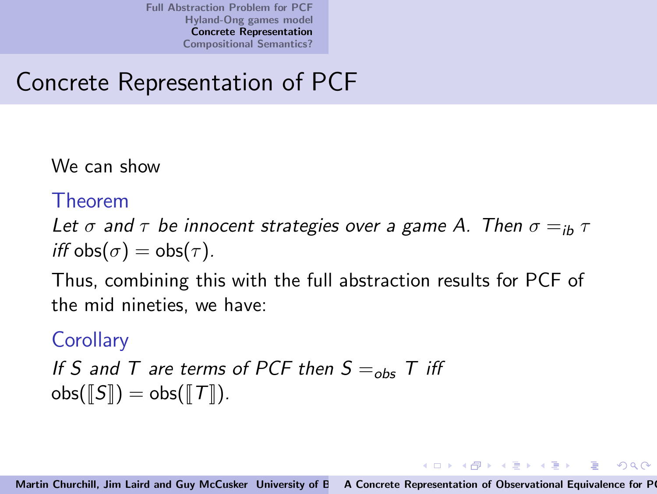# Concrete Representation of PCF

We can show

#### Theorem

Let  $\sigma$  and  $\tau$  be innocent strategies over a game A. Then  $\sigma =_{i\mathbf{b}} \tau$ iff  $obs(\sigma) = obs(\tau)$ .

Thus, combining this with the full abstraction results for PCF of the mid nineties, we have:

### **Corollary**

If S and T are terms of PCF then  $S =_{obs} T$  iff  $obs(\llbracket S \rrbracket) = obs(\llbracket T \rrbracket).$ 

イロメ イ部メ イヨメ イヨメー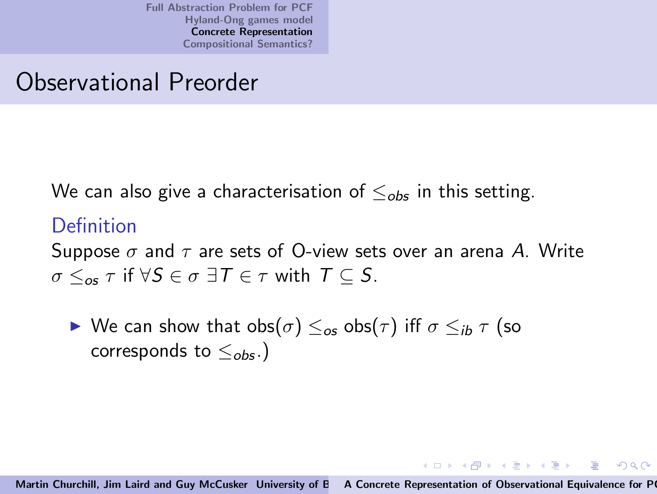### Observational Preorder

We can also give a characterisation of  $\leq_{obs}$  in this setting.

### Definition

Suppose  $\sigma$  and  $\tau$  are sets of O-view sets over an arena A. Write  $\sigma \leq_{\alpha \in \tau}$  if  $\forall S \in \sigma \exists T \in \tau$  with  $T \subseteq S$ .

► We can show that  $obs(\sigma) \leq_{\sigma} obs(\tau)$  iff  $\sigma \leq_{ib} \tau$  (so corresponds to  $\leq_{obs}$ .)

 $(0,1)$   $(0,1)$   $(0,1)$   $(1,1)$   $(1,1)$   $(1,1)$ 

 $\Omega$ 

三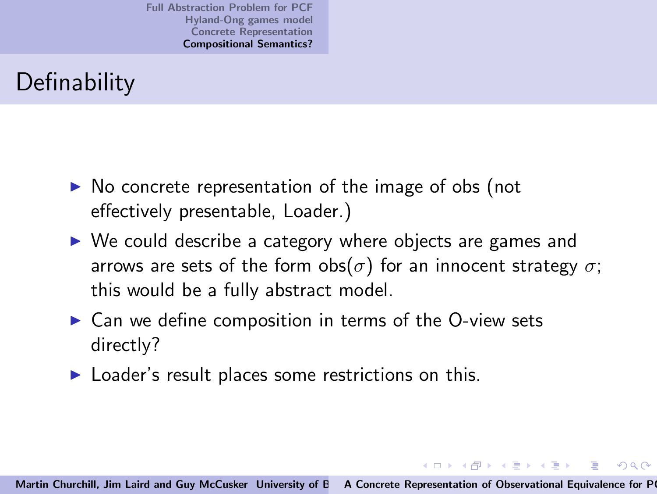# **Definability**

- ▶ No concrete representation of the image of obs (not effectively presentable, Loader.)
- ► We could describe a category where objects are games and arrows are sets of the form obs( $\sigma$ ) for an innocent strategy  $\sigma$ ; this would be a fully abstract model.
- $\triangleright$  Can we define composition in terms of the O-view sets directly?
- $\blacktriangleright$  Loader's result places some restrictions on this.

<span id="page-19-0"></span>イロメ イ部メ イヨメ イヨメー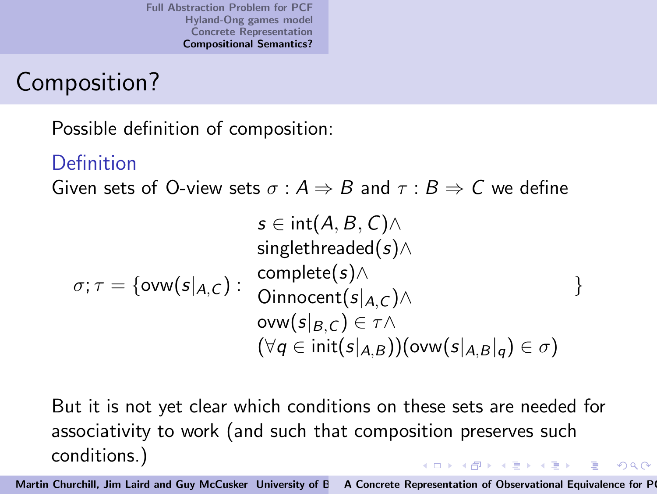## Composition?

Possible definition of composition:

### Definition

Given sets of O-view sets  $\sigma : A \Rightarrow B$  and  $\tau : B \Rightarrow C$  we define

$$
s \in \text{int}(A, B, C) \land
$$
  
singlethreaded(s)  $\land$   
 $\sigma; \tau = \{\text{ow}(s|_{A,C}) : \begin{array}{l} \text{complete}(s) \land \\ \text{Oinnocent}(s|_{A,C}) \land \\ \text{ow}(s|_{B,C}) \in \tau \land \\ (\forall q \in \text{init}(s|_{A,B}))(\text{ow}(s|_{A,B}|_q) \in \sigma) \end{array} \}$ 

But it is not yet clear which conditions on these sets are needed for associativity to work (and such that composition preserves such conditions.) イロト イ部 トイヨ トイヨト

Martin Churchill, Jim Laird and Guy McCusker University of E A Concrete Representation of Observational Equivalence for P